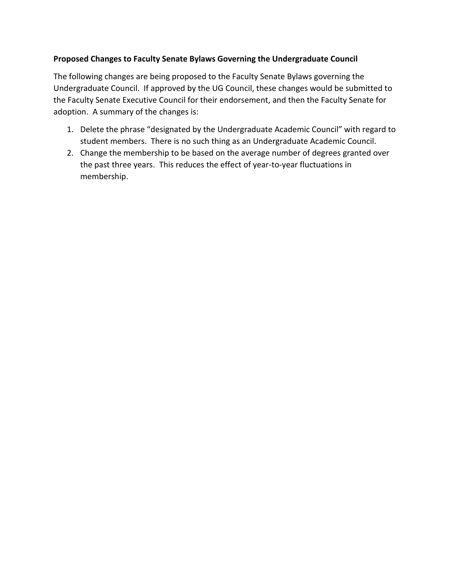## **Proposed Changes to Faculty Senate Bylaws Governing the Undergraduate Council**

The following changes are being proposed to the Faculty Senate Bylaws governing the Undergraduate Council. If approved by the UG Council, these changes would be submitted to the Faculty Senate Executive Council for their endorsement, and then the Faculty Senate for adoption. A summary of the changes is:

- 1. Delete the phrase "designated by the Undergraduate Academic Council" with regard to student members. There is no such thing as an Undergraduate Academic Council.
- 2. Change the membership to be based on the average number of degrees granted over the past three years. This reduces the effect of year-to-year fluctuations in membership.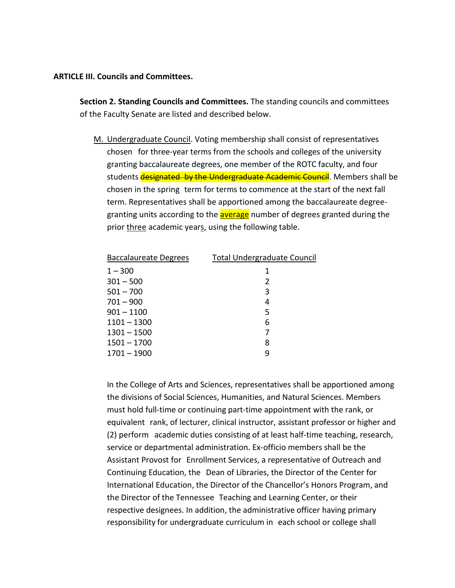## **ARTICLE III. Councils and Committees.**

**Section 2. Standing Councils and Committees.** The standing councils and committees of the Faculty Senate are listed and described below.

M. Undergraduate Council. Voting membership shall consist of representatives chosen for three-year terms from the schools and colleges of the university granting baccalaureate degrees, one member of the ROTC faculty, and four students designated by the Undergraduate Academic Council. Members shall be chosen in the spring term for terms to commence at the start of the next fall term. Representatives shall be apportioned among the baccalaureate degreegranting units according to the **average** number of degrees granted during the prior three academic years, using the following table.

| Baccalaureate Degrees | <b>Total Undergraduate Council</b> |
|-----------------------|------------------------------------|
| $1 - 300$             | 1                                  |
| $301 - 500$           | 2                                  |
| $501 - 700$           | 3                                  |
| $701 - 900$           | 4                                  |
| $901 - 1100$          | 5                                  |
| $1101 - 1300$         | 6                                  |
| $1301 - 1500$         | 7                                  |
| $1501 - 1700$         | 8                                  |
| $1701 - 1900$         | g                                  |
|                       |                                    |

In the College of Arts and Sciences, representatives shall be apportioned among the divisions of Social Sciences, Humanities, and Natural Sciences. Members must hold full-time or continuing part-time appointment with the rank, or equivalent rank, of lecturer, clinical instructor, assistant professor or higher and (2) perform academic duties consisting of at least half-time teaching, research, service or departmental administration. Ex-officio members shall be the Assistant Provost for Enrollment Services, a representative of Outreach and Continuing Education, the Dean of Libraries, the Director of the Center for International Education, the Director of the Chancellor's Honors Program, and the Director of the Tennessee Teaching and Learning Center, or their respective designees. In addition, the administrative officer having primary responsibility for undergraduate curriculum in each school or college shall